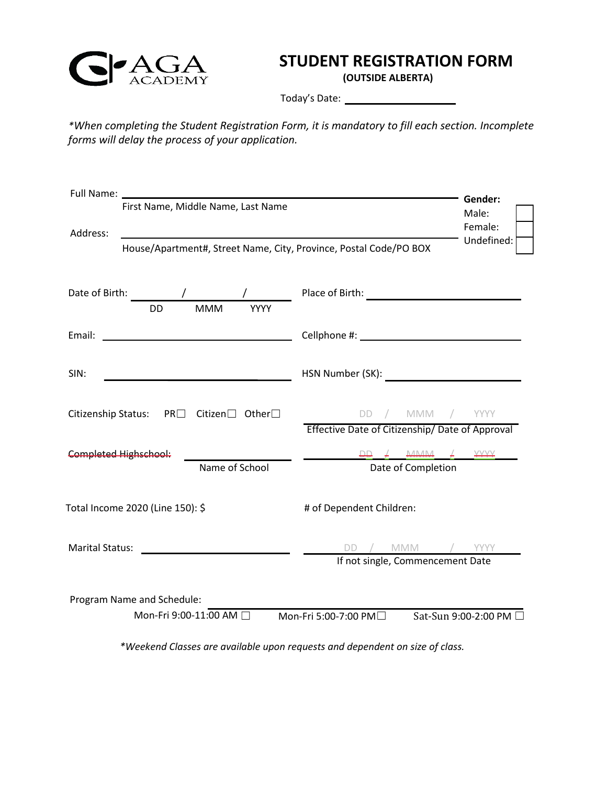

## **STUDENT REGISTRATION FORM**

**(OUTSIDE ALBERTA)**

Today's Date:

*\*When completing the Student Registration Form, it is mandatory to fill each section. Incomplete forms will delay the process of your application.*

|                                                                                                                                   | Gender:                                                                                                                                                                                                                              |
|-----------------------------------------------------------------------------------------------------------------------------------|--------------------------------------------------------------------------------------------------------------------------------------------------------------------------------------------------------------------------------------|
| First Name, Middle Name, Last Name                                                                                                | Male:                                                                                                                                                                                                                                |
| Address:                                                                                                                          | Female:                                                                                                                                                                                                                              |
| <u> 1989 - Johann Stein, mars an de Britannich (b. 1989)</u><br>House/Apartment#, Street Name, City, Province, Postal Code/PO BOX | Undefined:                                                                                                                                                                                                                           |
|                                                                                                                                   |                                                                                                                                                                                                                                      |
|                                                                                                                                   |                                                                                                                                                                                                                                      |
| Date of Birth:<br>$\sqrt{2}$<br>$\sqrt{2}$                                                                                        |                                                                                                                                                                                                                                      |
| <b>MMM</b><br><b>DD</b><br><b>YYYY</b>                                                                                            |                                                                                                                                                                                                                                      |
| Email:<br><u> 1980 - Johann Barbara, martxa alemaniar a</u>                                                                       | Cellphone #: <u>compared and the set of the set of the set of the set of the set of the set of the set of the set of the set of the set of the set of the set of the set of the set of the set of the set of the set of the set </u> |
|                                                                                                                                   |                                                                                                                                                                                                                                      |
| SIN:                                                                                                                              | HSN Number (SK): National Assembly of the SN Number (SK):                                                                                                                                                                            |
|                                                                                                                                   |                                                                                                                                                                                                                                      |
| Citizenship Status: PR□ Citizen□ Other□                                                                                           | DD / MMM / YYYY                                                                                                                                                                                                                      |
|                                                                                                                                   | Effective Date of Citizenship/Date of Approval                                                                                                                                                                                       |
| <b>Completed Highschool:</b>                                                                                                      | $DD \neq MMMA \neq YYYY$                                                                                                                                                                                                             |
| Name of School                                                                                                                    | Date of Completion                                                                                                                                                                                                                   |
|                                                                                                                                   |                                                                                                                                                                                                                                      |
| Total Income 2020 (Line 150): \$                                                                                                  | # of Dependent Children:                                                                                                                                                                                                             |
|                                                                                                                                   |                                                                                                                                                                                                                                      |
| <b>Marital Status:</b>                                                                                                            | DD / MMM / YYYY                                                                                                                                                                                                                      |
|                                                                                                                                   | If not single, Commencement Date                                                                                                                                                                                                     |
|                                                                                                                                   |                                                                                                                                                                                                                                      |
| Program Name and Schedule:                                                                                                        |                                                                                                                                                                                                                                      |
| Mon-Fri 9:00-11:00 AM                                                                                                             | Mon-Fri 5:00-7:00 PM□<br>Sat-Sun 9:00-2:00 PM                                                                                                                                                                                        |
|                                                                                                                                   |                                                                                                                                                                                                                                      |
|                                                                                                                                   | *Weekend Classes are available upon requests and dependent on size of class.                                                                                                                                                         |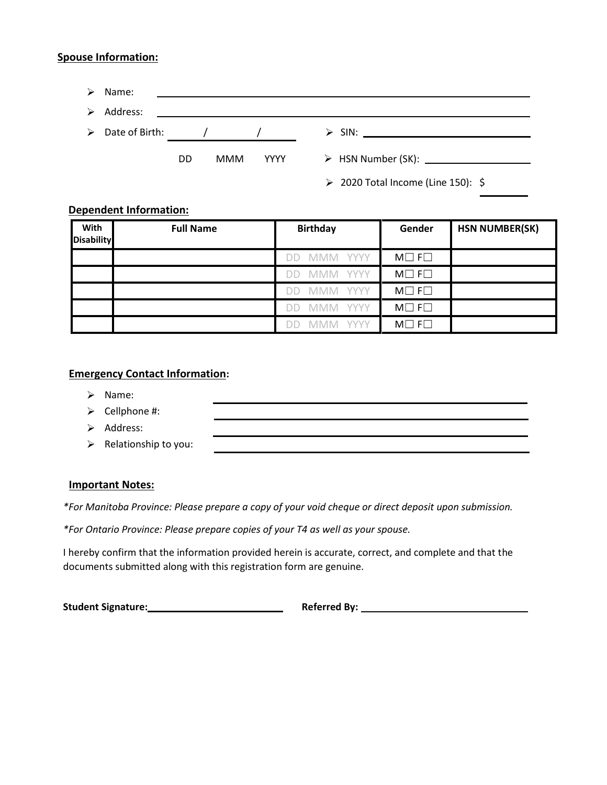### **Spouse Information:**

| ➤ | Name:                           |    |            |      |                                         |
|---|---------------------------------|----|------------|------|-----------------------------------------|
| ➤ | Address:                        |    |            |      |                                         |
|   | $\triangleright$ Date of Birth: |    |            |      |                                         |
|   |                                 |    |            |      |                                         |
|   |                                 | DD | <b>MMM</b> | YYYY |                                         |
|   |                                 |    |            |      | $\geq$ 2020 Total Income (Line 150): \$ |

### **Dependent Information:**

| With<br><b>Disability</b> | <b>Full Name</b> | <b>Birthday</b>                                | Gender                | <b>HSN NUMBER(SK)</b> |
|---------------------------|------------------|------------------------------------------------|-----------------------|-----------------------|
|                           |                  | <b>YYYY</b><br>MMM<br>$\Box$                   | $M \Box F \Box$       |                       |
|                           |                  | <b>YYYY</b><br>M<br>$\overline{1}$             | $M \Box F \Box$       |                       |
|                           |                  | <b>YYYY</b><br>IM.<br>11                       | $M \square F \square$ |                       |
|                           |                  | <b>YYYY</b><br>MMM<br>$\overline{\phantom{1}}$ | $M \Box F \Box$       |                       |
|                           |                  | <b>YYYY</b>                                    | $M \Box F \Box$       |                       |

## **Emergency Contact Information:**

- ➢ Name:
- ➢ Cellphone #:
- ➢ Address:
- $\triangleright$  Relationship to you:

#### **Important Notes:**

*\*For Manitoba Province: Please prepare a copy of your void cheque or direct deposit upon submission.*

*\*For Ontario Province: Please prepare copies of your T4 as well as your spouse.*

I hereby confirm that the information provided herein is accurate, correct, and complete and that the documents submitted along with this registration form are genuine.

**Student Signature: Referred By: Referred By: Referred By: Referred By: Referred By: Referred By: Referred By: Referred By: Referred By: Referred By: Referred By: Referred By: Referred By: Refer**